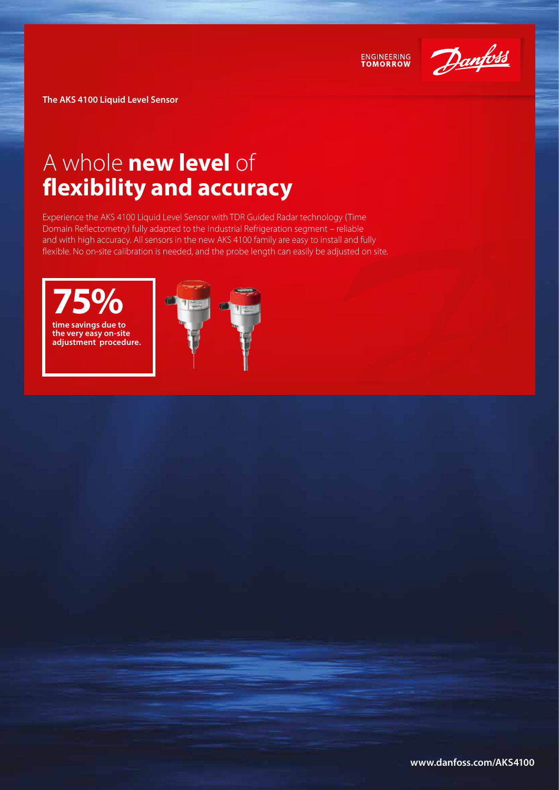

**ENGINEERING**<br>TOMORROW

**The AKS 4100 Liquid Level Sensor**

# A whole **new level** of **flexibility and accuracy**

Experience the AKS 4100 Liquid Level Sensor with TDR Guided Radar technology (Time Domain Reflectometry) fully adapted to the Industrial Refrigeration segment – reliable and with high accuracy. All sensors in the new AKS 4100 family are easy to install and fully flexible. No on-site calibration is needed, and the probe length can easily be adjusted on site.

## **75% time savings due to the very easy on-site adjustment procedure.**

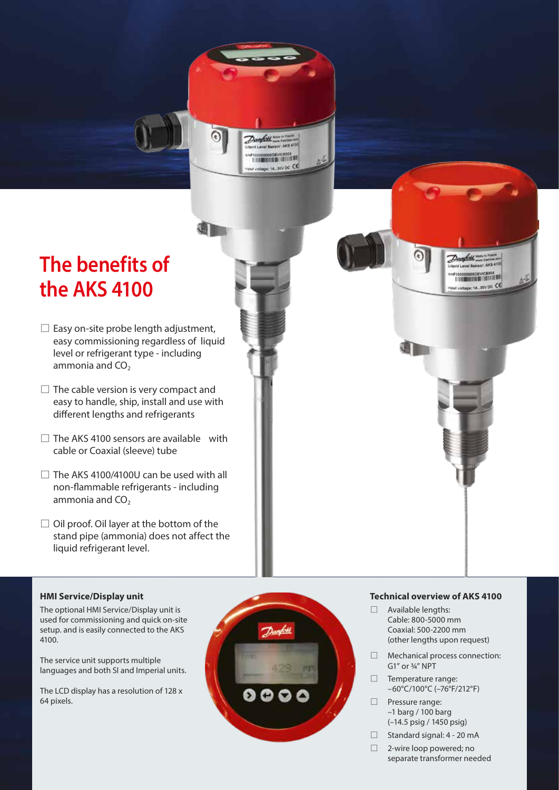## **The benefits of the AKS 4100**

- $\square$  Easy on-site probe length adjustment, easy commissioning regardless of liquid level or refrigerant type - including ammonia and  $CO<sub>2</sub>$
- $\Box$  The cable version is very compact and easy to handle, ship, install and use with different lengths and refrigerants
- $\Box$  The AKS 4100 sensors are available with cable or Coaxial (sleeve) tube
- $\Box$  The AKS 4100/4100U can be used with all non-flammable refrigerants - including ammonia and  $CO<sub>2</sub>$
- $\Box$  Oil proof. Oil layer at the bottom of the stand pipe (ammonia) does not affect the liquid refrigerant level.

### **Technical overview of AKS 4100**

CROSA<br>LATITITIS Itage: 14\_30VDC CE

- □ Available lengths: Cable: 800-5000 mm Coaxial: 500-2200 mm (other lengths upon request)
- □ Mechanical process connection: G1" or ¾" NPT
- $\Box$  Temperature range: –60°C/100°C (–76°F/212°F)
- $\Box$  Pressure range: –1 barg / 100 barg (–14.5 psig / 1450 psig)
- $\Box$  Standard signal: 4 20 mA
- $\Box$  2-wire loop powered; no separate transformer needed

## 4100. The service unit supports multiple

The optional HMI Service/Display unit is used for commissioning and quick on-site setup. and is easily connected to the AKS

**HMI Service/Display unit**

The LCD display has a resolution of 128 x 64 pixels.

languages and both SI and Imperial units.



hu-

**NOOD HALL BE** Mar. 14. Sou DC CE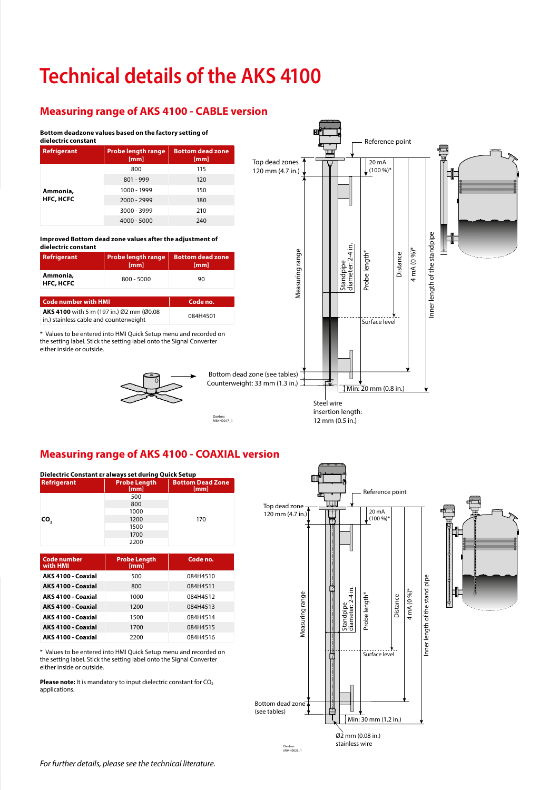## **Technical details of the AKS 4100**

### **Measuring range of AKS 4100 - CABLE version**

| Bottom deadzone values based on the factory setting of<br>dielectric constant |                                   |                                 |  |  |
|-------------------------------------------------------------------------------|-----------------------------------|---------------------------------|--|--|
| <b>Refrigerant</b>                                                            | <b>Probe length range</b><br>[mm] | <b>Bottom dead zone</b><br>[mm] |  |  |
| Ammonia,<br><b>HFC, HCFC</b>                                                  | 800                               | 115                             |  |  |
|                                                                               | $801 - 999$                       | 120                             |  |  |
|                                                                               | 1000 - 1999                       | 150                             |  |  |
|                                                                               | $2000 - 2999$                     | 180                             |  |  |
|                                                                               | 3000 - 3999                       | 210                             |  |  |
|                                                                               | $4000 - 5000$                     | 240                             |  |  |

**Improved Bottom dead zone values after the adjustment of** 

| dielectric constant          |                                   |                                 |
|------------------------------|-----------------------------------|---------------------------------|
| Refrigerant                  | <b>Probe length range</b><br>[mm] | <b>Bottom dead zone</b><br>[mm] |
| Ammonia,<br><b>HFC, HCFC</b> | $800 - 5000$                      | 90                              |

| Code number with HMI                                                                      | Code no. |
|-------------------------------------------------------------------------------------------|----------|
| <b>AKS 4100</b> with 5 m (197 in.) Ø2 mm (Ø0.08<br>in.) stainless cable and counterweight | 084H4501 |
|                                                                                           |          |

\* Values to be entered into HMI Quick Setup menu and recorded on the setting label. Stick the setting label onto the Signal Converter either inside or outside.





insertion length: 12 mm (0.5 in.)

### **Measuring range of AKS 4100 - COAXIAL version**

Danfoss M84H0017\_1

| Dielectric Constant Er always set during Quick Setup |                             |                                 |  |  |
|------------------------------------------------------|-----------------------------|---------------------------------|--|--|
| <b>Refrigerant</b>                                   | <b>Probe Length</b><br>[mm] | <b>Bottom Dead Zone</b><br>[mm] |  |  |
| CO.                                                  | 500                         | 170                             |  |  |
|                                                      | 800                         |                                 |  |  |
|                                                      | 1000                        |                                 |  |  |
|                                                      | 1200                        |                                 |  |  |
|                                                      | 1500                        |                                 |  |  |
|                                                      | 1700                        |                                 |  |  |
|                                                      | 2200                        |                                 |  |  |

| Code number<br>with HMI | <b>Probe Length</b><br>[mm] | Code no. |
|-------------------------|-----------------------------|----------|
| AKS 4100 - Coaxial      | 500                         | 084H4510 |
| AKS 4100 - Coaxial      | 800                         | 084H4511 |
| AKS 4100 - Coaxial      | 1000                        | 084H4512 |
| AKS 4100 - Coaxial      | 1200                        | 084H4513 |
| AKS 4100 - Coaxial      | 1500                        | 084H4514 |
| AKS 4100 - Coaxial      | 1700                        | 084H4515 |
| AKS 4100 - Coaxial      | 2200                        | 084H4516 |

\* Values to be entered into HMI Quick Setup menu and recorded on the setting label. Stick the setting label onto the Signal Converter either inside or outside.

**Please note:** It is mandatory to input dielectric constant for CO<sub>2</sub> applications.



Danfoss M84H0026\_1